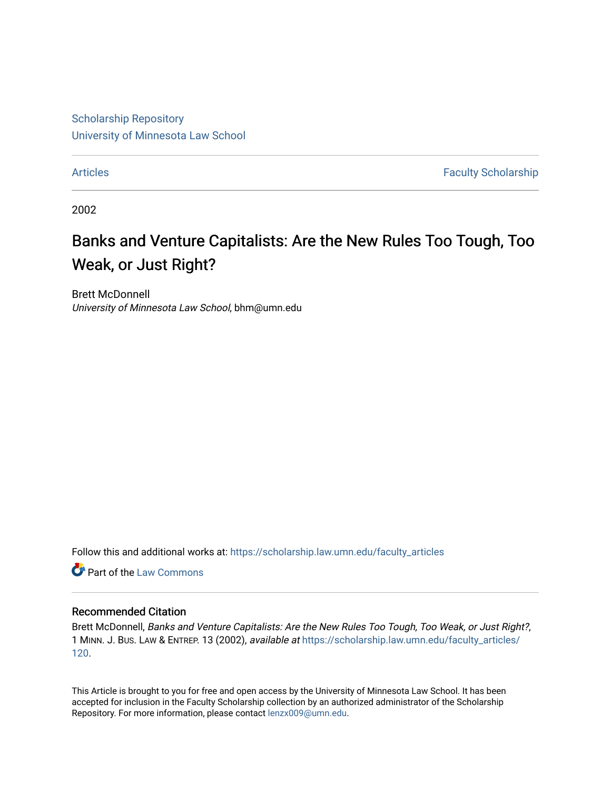[Scholarship Repository](https://scholarship.law.umn.edu/?utm_source=scholarship.law.umn.edu%2Ffaculty_articles%2F120&utm_medium=PDF&utm_campaign=PDFCoverPages) [University of Minnesota Law School](https://scholarship.law.umn.edu/?utm_source=scholarship.law.umn.edu%2Ffaculty_articles%2F120&utm_medium=PDF&utm_campaign=PDFCoverPages)

[Articles](https://scholarship.law.umn.edu/faculty_articles?utm_source=scholarship.law.umn.edu%2Ffaculty_articles%2F120&utm_medium=PDF&utm_campaign=PDFCoverPages) **Faculty Scholarship** 

2002

# Banks and Venture Capitalists: Are the New Rules Too Tough, Too Weak, or Just Right?

Brett McDonnell University of Minnesota Law School, bhm@umn.edu

Follow this and additional works at: [https://scholarship.law.umn.edu/faculty\\_articles](https://scholarship.law.umn.edu/faculty_articles?utm_source=scholarship.law.umn.edu%2Ffaculty_articles%2F120&utm_medium=PDF&utm_campaign=PDFCoverPages)

**C** Part of the [Law Commons](https://network.bepress.com/hgg/discipline/578?utm_source=scholarship.law.umn.edu%2Ffaculty_articles%2F120&utm_medium=PDF&utm_campaign=PDFCoverPages)

#### Recommended Citation

Brett McDonnell, Banks and Venture Capitalists: Are the New Rules Too Tough, Too Weak, or Just Right?, 1 MINN. J. BUS. LAW & ENTREP. 13 (2002), available at [https://scholarship.law.umn.edu/faculty\\_articles/](https://scholarship.law.umn.edu/faculty_articles/120?utm_source=scholarship.law.umn.edu%2Ffaculty_articles%2F120&utm_medium=PDF&utm_campaign=PDFCoverPages) [120.](https://scholarship.law.umn.edu/faculty_articles/120?utm_source=scholarship.law.umn.edu%2Ffaculty_articles%2F120&utm_medium=PDF&utm_campaign=PDFCoverPages)

This Article is brought to you for free and open access by the University of Minnesota Law School. It has been accepted for inclusion in the Faculty Scholarship collection by an authorized administrator of the Scholarship Repository. For more information, please contact [lenzx009@umn.edu.](mailto:lenzx009@umn.edu)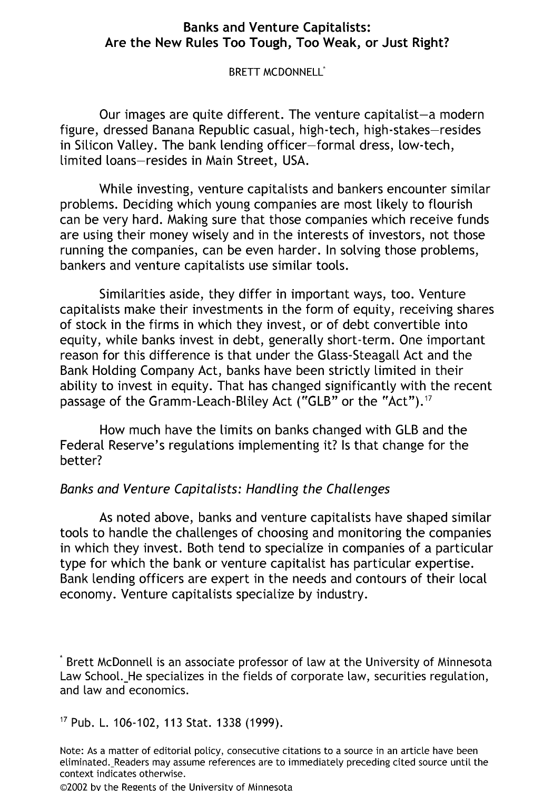## **Banks** and **Venture** Capitalists: **Are the New Rules Too Tough,** Too **Weak,** or **Just** Right?

BRETT MCDONNELL<sup>\*</sup>

Our images are quite different. The venture capitalist-a modern figure, dressed Banana Republic casual, high-tech, high-stakes-resides in Silicon Valley. The bank lending officer-formal dress, low-tech, limited loans-resides in Main Street, **USA.**

While investing, venture capitalists and bankers encounter similar problems. Deciding which young companies are most likely to flourish can be very hard. Making sure that those companies which receive funds are using their money wisely and in the interests of investors, not those running the companies, can be even harder. In solving those problems, bankers and venture capitalists use similar tools.

Similarities aside, they differ in important ways, too. Venture capitalists make their investments in the form of equity, receiving shares of stock in the firms in which they invest, or of debt convertible into equity, while banks invest in debt, generally short-term. One important reason for this difference is that under the Glass-Steagall Act and the Bank Holding Company Act, banks have been strictly limited in their ability to invest in equity. That has changed significantly with the recent passage of the Gramm-Leach-Bliley Act ("GLB" or the "Act").<sup>17</sup>

How much have the limits on banks changed with GLB and the Federal Reserve's regulations implementing it? Is that change for the better?

# Banks and Venture Capitalists: Handling the Challenges

As noted above, banks and venture capitalists have shaped similar tools to handle the challenges of choosing and monitoring the companies in which they invest. Both tend to specialize in companies of a particular type for which the bank or venture capitalist has particular expertise. Bank lending officers are expert in the needs and contours of their local economy. Venture capitalists specialize by industry.

 $\degree$  Brett McDonnell is an associate professor of law at the University of Minnesota Law School. He specializes in the fields of corporate law, securities regulation, and law and economics.

## 17 Pub. L. 106-102, 113 Stat. 1338 (1999).

Note: As a matter of editorial policy, consecutive citations to a source in an article have been etiminated. Readers may assume references are to immediately preceding cited source until the context indicates otherwise.

©2002 bv the Regents of the University of Minnesota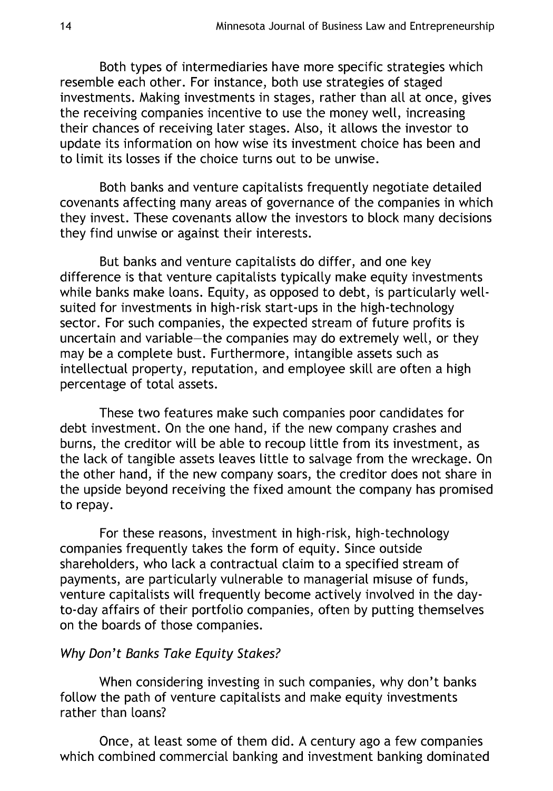Both types of intermediaries have more specific strategies which resemble each other. For instance, both use strategies of staged investments. Making investments in stages, rather than all at once, gives the receiving companies incentive to use the money well, increasing their chances of receiving later stages. Also, it allows the investor to update its information on how wise its investment choice has been and to limit its losses if the choice turns out to be unwise.

Both banks and venture capitalists frequently negotiate detailed covenants affecting many areas of governance of the companies in which they invest. These covenants allow the investors to block many decisions they find unwise or against their interests.

But banks and venture capitalists do differ, and one key difference is that venture capitalists typically make equity investments while banks make loans. Equity, as opposed to debt, is particularly wellsuited for investments in high-risk start-ups in the high-technology sector. For such companies, the expected stream of future profits is uncertain and variable-the companies may do extremely well, or they may be a complete bust. Furthermore, intangible assets such as intellectual property, reputation, and employee skill are often a high percentage of total assets.

These two features make such companies poor candidates for debt investment. On the one hand, if the new company crashes and burns, the creditor will be able to recoup little from its investment, as the lack of tangible assets leaves little to salvage from the wreckage. On the other hand, if the new company soars, the creditor does not share in the upside beyond receiving the fixed amount the company has promised to repay.

For these reasons, investment in high-risk, high-technology companies frequently takes the form of equity. Since outside shareholders, who lack a contractual claim to a specified stream of payments, are particularly vulnerable to managerial misuse of funds, venture capitalists will frequently become actively involved in the dayto-day affairs of their portfolio companies, often by putting themselves on the boards of those companies.

# Why Don't Banks Take Equity Stakes?

When considering investing in such companies, why don't banks follow the path of venture capitalists and make equity investments rather than loans?

Once, at least some of them did. A century ago a few companies which combined commercial banking and investment banking dominated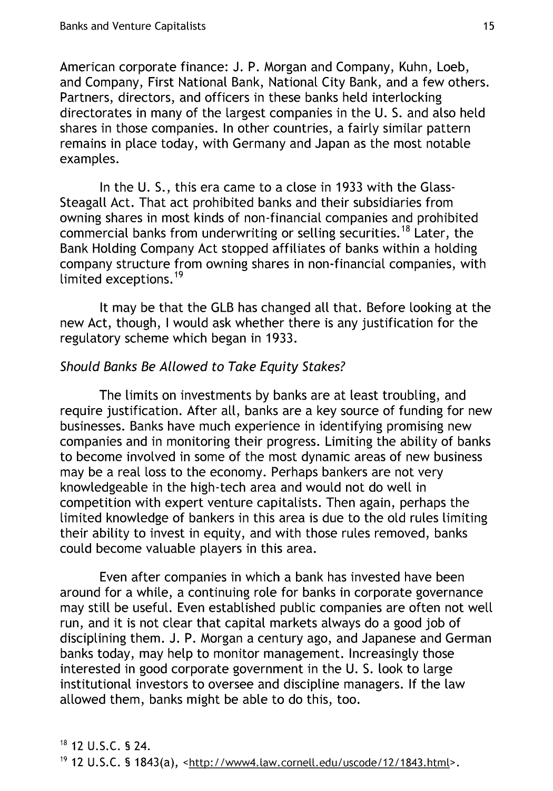American corporate finance: J. P. Morgan and Company, Kuhn, Loeb, and Company, First National Bank, National City Bank, and a few others. Partners, directors, and officers in these banks held interlocking directorates in many of the largest companies in the U. S. and also held shares in those companies. In other countries, a fairly similar pattern remains in place today, with Germany and Japan as the most notable examples.

In the U. **S.,** this era came to a close in 1933 with the Glass-Steagall Act. That act prohibited banks and their subsidiaries from owning shares in most kinds of non-financial companies and prohibited commercial banks from underwriting or selling securities. <sup>1</sup>8 Later, the Bank Holding Company Act stopped affiliates of banks within a holding company structure from owning shares in non-financial companies, with limited exceptions.<sup>19</sup>

It may be that the GLB has changed all that. Before looking at the new Act, though, I would ask whether there is any justification for the regulatory scheme which began in 1933.

# Should Banks Be Allowed to Take Equity Stakes?

The limits on investments by banks are at least troubling, and require justification. After all, banks are a key source of funding for new businesses. Banks have much experience in identifying promising new companies and in monitoring their progress. Limiting the ability of banks to become involved in some of the most dynamic areas of new business may be a real loss to the economy. Perhaps bankers are not very knowledgeable in the high-tech area and would not do well in competition with expert venture capitalists. Then again, perhaps the limited knowledge of bankers in this area is due to the old rules limiting their ability to invest in equity, and with those rules removed, banks could become valuable players in this area.

Even after companies in which a bank has invested have been around for a while, a continuing role for banks in corporate governance may still be useful. Even established public companies are often not well run, and it is not clear that capital markets always do a good job of disciplining them. J. P. Morgan a century ago, and Japanese and German banks today, may help to monitor management. Increasingly those interested in good corporate government in the U. S. took to large institutional investors to oversee and discipline managers. If the law allowed them, banks might be able to do this, too.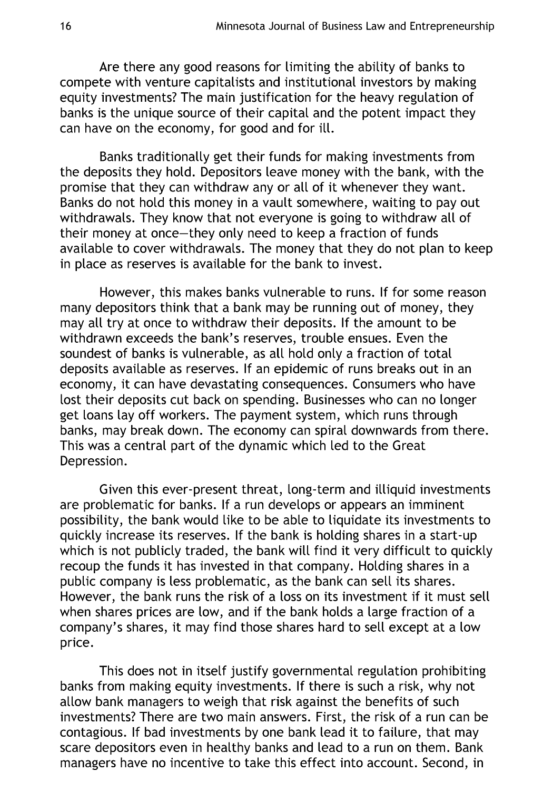Are there any good reasons for limiting the ability of banks to compete with venture capitalists and institutional investors by making equity investments? The main justification for the heavy regulation of banks is the unique source of their capitat and the potent impact they can have on the economy, for good and for ill.

Banks traditionally get their funds for making investments from the deposits they hold. Depositors leave money with the bank, with the promise that they can withdraw any or alt of it whenever they want. Banks do not hotd this money in a vault somewhere, waiting to pay out withdrawals. They know that not everyone is going to withdraw all of their money at once-they only need to keep a fraction of funds available to cover withdrawals. The money that they do not plan to keep in place as reserves is available for the bank to invest.

However, this makes banks vulnerable to runs. If for some reason many depositors think that a bank may be running out of money, they may all try at once to withdraw their deposits. If the amount to be withdrawn exceeds the bank's reserves, trouble ensues. Even the soundest of banks is vulnerable, as all hold only a fraction of total deposits available as reserves. If an epidemic of runs breaks out in an economy, it can have devastating consequences. Consumers who have lost their deposits cut back on spending. Businesses who can no longer get loans lay off workers. The payment system, which runs through banks, may break down. The economy can spiral downwards from there. This was a central part of the dynamic which led to the Great Depression.

Given this ever-present threat, long-term and iliquid investments are problematic for banks. If a run develops or appears an imminent possibility, the bank would like to be able to liquidate its investments to quickly increase its reserves. If the bank is holding shares in a start-up which is not publicly traded, the bank will find it very difficult to quickly recoup the funds it has invested in that company. Holding shares in a public company is less problematic, as the bank can sell its shares. However, the bank runs the risk of a loss on its investment if it must sell when shares prices are low, and if the bank holds a large fraction of a company's shares, it may find those shares hard to sell except at a low price.

This does not in itself justify governmental regulation prohibiting banks from making equity investments. If there is such a risk, why not allow bank managers to weigh that risk against the benefits of such investments? There are two main answers. First, the risk of a run can be contagious. If bad investments by one bank lead it to failure, that may scare depositors even in healthy banks and lead to a run on them. Bank managers have no incentive to take this effect into account. Second, in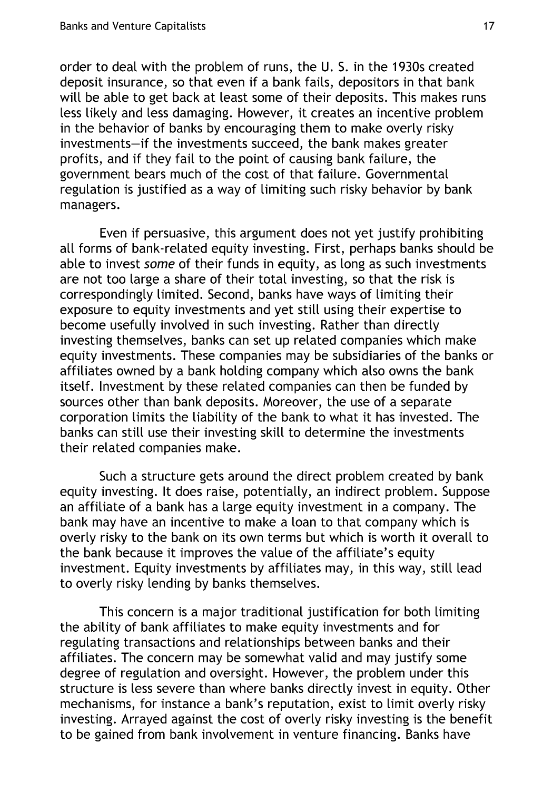order to deal with the problem of runs, the U. S. in the 1930s created deposit insurance, so that even if a bank fails, depositors in that bank wilt be able to get back at least some of their deposits. This makes runs less likely and less damaging. However, it creates an incentive problem in the behavior of banks by encouraging them to make overly risky investments-if the investments succeed, the bank makes greater profits, and if they fail to the point of causing bank failure, the government bears much of the cost of that failure. Governmental regulation is justified as a way of limiting such risky behavior by bank managers.

Even if persuasive, this argument does not yet justify prohibiting all forms of bank-related equity investing. First, perhaps banks should be able to invest some of their funds in equity, as long as such investments are not too large a share of their total investing, so that the risk is correspondingly limited. Second, banks have ways of limiting their exposure to equity investments and yet still using their expertise to become usefully involved in such investing. Rather than directly investing themselves, banks can set up related companies which make equity investments. These companies may be subsidiaries of the banks or affiliates owned by a bank holding company which also owns the bank itself. Investment by these related companies can then be funded by sources other than bank deposits. Moreover, the use of a separate corporation limits the liability of the bank to what it has invested. The banks can still use their investing skill to determine the investments their related companies make.

Such a structure gets around the direct problem created by bank equity investing. It does raise, potentially, an indirect problem. Suppose an affiliate of a bank has a large equity investment in a company. The bank may have an incentive to make a loan to that company which is overly risky to the bank on its own terms but which is worth it overall to the bank because it improves the value of the affiliate's equity investment. Equity investments by affiliates may, in this way, still lead to overly risky lending by banks themselves.

This concern is a major traditional justification for both limiting the ability of bank affiliates to make equity investments and for regulating transactions and relationships between banks and their affiliates. The concern may be somewhat valid and may justify some degree of regulation and oversight. However, the problem under this structure is less severe than where banks directly invest in equity. Other mechanisms, for instance a bank's reputation, exist to limit overly risky investing. Arrayed against the cost of overly risky investing is the benefit to be gained from bank involvement in venture financing. Banks have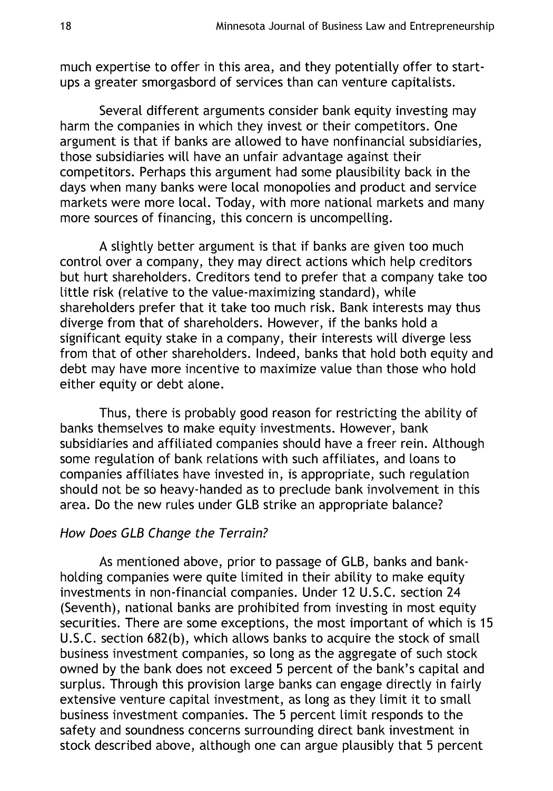much expertise to offer in this area, and they potentially offer to startups a greater smorgasbord of services than can venture capitalists.

Several different arguments consider bank equity investing may harm the companies in which they invest or their competitors. One argument is that if banks are allowed to have nonfinancial subsidiaries, those subsidiaries wilt have an unfair advantage against their competitors. Perhaps this argument had some plausibility back in the days when many banks were local monopolies and product and service markets were more local. Today, with more national markets and many more sources of financing, this concern is uncompelling.

A slightly better argument is that if banks are given too much control over a company, they may direct actions which help creditors but hurt shareholders. Creditors tend to prefer that a company take too tittle risk (relative to the value-maximizing standard), while shareholders prefer that it take too much risk. Bank interests may thus diverge from that of shareholders. However, if the banks hold a significant equity stake in a company, their interests will diverge less from that of other shareholders. Indeed, banks that hold both equity and debt may have more incentive to maximize value than those who hold either equity or debt alone.

Thus, there is probably good reason for restricting the ability of banks themselves to make equity investments. However, bank subsidiaries and affiliated companies should have a freer rein. Although some regulation of bank relations with such affiliates, and loans to companies affiliates have invested in, is appropriate, such regulation should not be so heavy-handed as to preclude bank involvement in this area. Do the new rules under GLB strike an appropriate balance?

## How Does GLB Change the Terrain?

As mentioned above, prior to passage of GLB, banks and bankholding companies were quite limited in their ability to make equity investments in non-financial companies. Under 12 U.S.C. section 24 (Seventh), national banks are prohibited from investing in most equity securities. There are some exceptions, the most important of which is 15 U.S.C. section 682(b), which allows banks to acquire the stock of small business investment companies, so long as the aggregate of such stock owned by the bank does not exceed 5 percent of the bank's capital and surplus. Through this provision large banks can engage directly in fairly extensive venture capital investment, as long as they limit it to small business investment companies. The 5 percent limit responds to the safety and soundness concerns surrounding direct bank investment in stock described above, although one can argue plausibly that 5 percent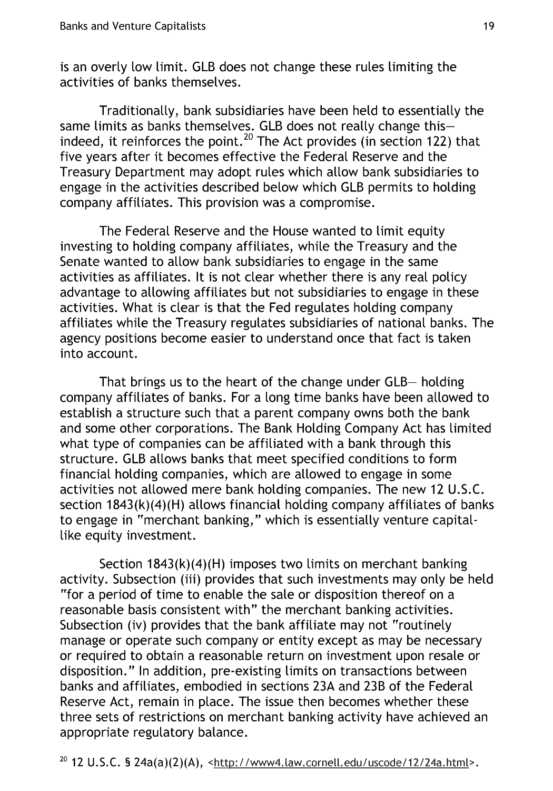is an overly low limit. GLB does not change these rules limiting the activities of banks themselves.

Traditionally, bank subsidiaries have been held to essentially the same limits as banks themselves. GLB does not realty change thisindeed, it reinforces the point.<sup>20</sup> The Act provides (in section 122) that five years after it becomes effective the Federal Reserve and the Treasury Department may adopt rules which allow bank subsidiaries to engage in the activities described below which GLB permits to holding company affiliates. This provision was a compromise.

The Federal Reserve and the House wanted to limit equity investing to holding company affiliates, white the Treasury and the Senate wanted to allow bank subsidiaries to engage in the same activities as affiliates. It is not clear whether there is any real policy advantage to allowing affiliates but not subsidiaries to engage in these activities. What is clear is that the Fed regulates holding company affiliates while the Treasury regulates subsidiaries of national banks. The agency positions become easier to understand once that fact is taken into account.

That brings us to the heart of the change under GLB- holding company affiliates of banks. For a tong time banks have been allowed to establish a structure such that a parent company owns both the bank and some other corporations. The Bank Holding Company Act has limited what type of companies can be affiliated with a bank through this structure. GLB allows banks that meet specified conditions to form financiat holding companies, which are allowed to engage in some activities not allowed mere bank holding companies. The new 12 U.S.C. section 1843(k)(4)(H) allows financial holding company affiliates of banks to engage in "merchant banking," which is essentially venture capitallike equity investment.

Section 1843(k)(4)(H) imposes two limits on merchant banking activity. Subsection (iii) provides that such investments may only be held "for a period of time to enable the sale or disposition thereof on a reasonable basis consistent with" the merchant banking activities. Subsection (iv) provides that the bank affiliate may not "routinely manage or operate such company or entity except as may be necessary or required to obtain a reasonable return on investment upon resale or disposition." In addition, pre-existing limits on transactions between banks and affiliates, embodied in sections 23A and 23B of the Federal Reserve Act, remain in place. The issue then becomes whether these three sets of restrictions on merchant banking activity have achieved an appropriate regulatory balance.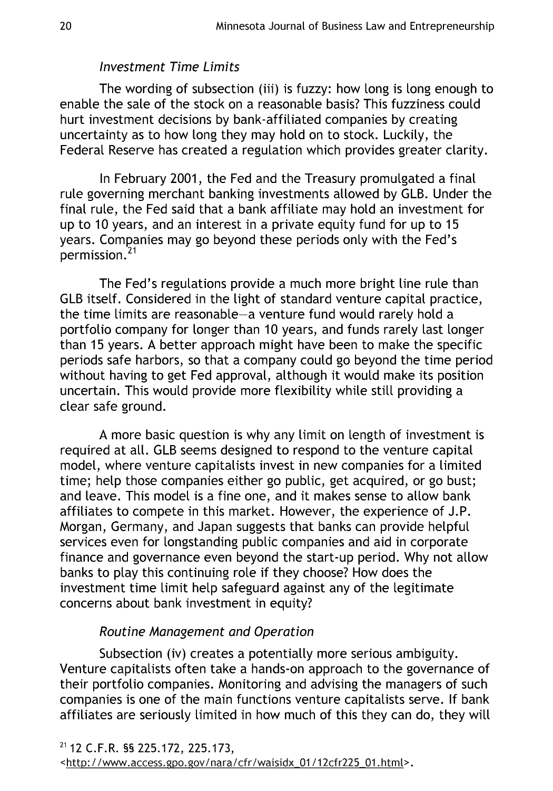## Investment Time Limits

The wording of subsection (iii) is fuzzy: how long is long enough to enable the sale of the stock on a reasonable basis? This fuzziness could hurt investment decisions by bank-affiliated companies by creating uncertainty as to how long they may hold on to stock. Luckily, the Federal Reserve has created a regulation which provides greater clarity.

In February 2001, the Fed and the Treasury promulgated a final rule governing merchant banking investments allowed by GLB. Under the final rule, the Fed said that a bank affiliate may hold an investment for up to 10 years, and an interest in a private equity fund for up to 15 years. Companies may go beyond these periods only with the Fed's  $permission.<sup>21</sup>$ 

The Fed's regulations provide a much more bright line rule than GLB itself. Considered in the light of standard venture capital practice, the time limits are reasonable-a venture fund would rarely hold a portfolio company for longer than 10 years, and funds rarely last longer than 15 years. A better approach might have been to make the specific periods safe harbors, so that a company could go beyond the time period without having to get Fed approval, although it would make its position uncertain. This would provide more flexibility while still providing a clear safe ground.

A more basic question is why any limit on length of investment is required at all. GLB seems designed to respond to the venture capital model, where venture capitalists invest in new companies for a limited time; help those companies either go public, get acquired, or go bust; and leave. This model is a fine one, and it makes sense to allow bank affiliates to compete in this market. However, the experience of J.P. Morgan, Germany, and Japan suggests that banks can provide helpful services even for longstanding public companies and aid in corporate finance and governance even beyond the start-up period. Why not allow banks to play this continuing role if they choose? How does the investment time limit help safeguard against any of the legitimate concerns about bank investment in equity?

# Routine Management and Operation

Subsection (iv) creates a potentially more serious ambiguity. Venture capitalists often take a hands-on approach to the governance of their portfolio companies. Monitoring and advising the managers of such companies is one of the main functions venture capitalists serve. If bank affiliates are seriously limited in how much of this they can do, they will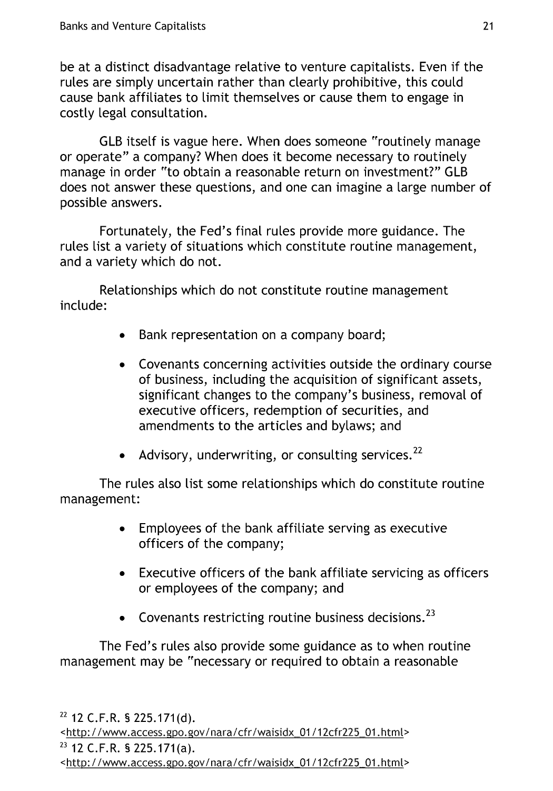be at a distinct disadvantage relative to venture capitalists. Even if the rules are simply uncertain rather than clearly prohibitive, this could cause bank affiliates to limit themselves or cause them to engage in costly legal consultation.

GLB itself is vague here. When does someone "routinely manage or operate" a company? When does it become necessary to routinely manage in order "to obtain a reasonable return on investment?" GLB does not answer these questions, and one can imagine a large number of possible answers.

Fortunately, the Fed's final rules provide more guidance. The rules list a variety of situations which constitute routine management, and a variety which do not.

Relationships which do not constitute routine management include:

- **"** Bank representation on a company board;
- **"** Covenants concerning activities outside the ordinary course of business, including the acquisition of significant assets, significant changes to the company's business, removal of executive officers, redemption of securities, and amendments to the articles and bylaws; and
- Advisory, underwriting, or consulting services.<sup>22</sup>

The rules also list some relationships which do constitute routine management:

- **"** Employees of the bank affiliate serving as executive officers of the company;
- **"** Executive officers of the bank affiliate servicing as officers or employees of the company; and
- Covenants restricting routine business decisions.<sup>23</sup>

The Fed's rules also provide some guidance as to when routine management may be "necessary or required to obtain a reasonable

**<sup>23</sup>**12 C.F.R. § 225.171 (a).

<sup>&</sup>lt;htto: **/** /www.access. go. gov/ nara /cfr/waisidx 01/12cfr225 01.html>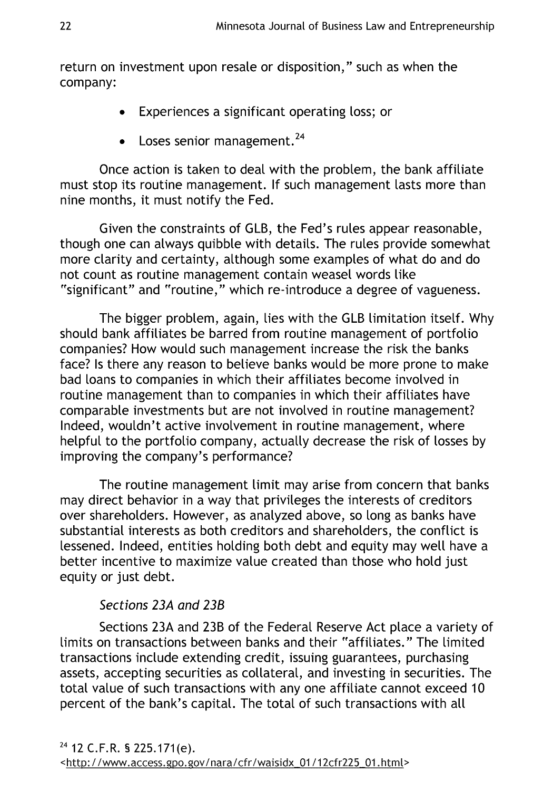return on investment upon resale or disposition," such as when the company:

- **"** Experiences a significant operating loss; or
- Loses senior management.<sup>24</sup>

Once action is taken to deal with the problem, the bank affiliate must stop its routine management. If such management lasts more than nine months, it must notify the Fed.

Given the constraints of GLB, the Fed's rules appear reasonable, though one can always quibble with details. The rules provide somewhat more clarity and certainty, although some examples of what do and do not count as routine management contain weasel words like "significant" and "routine," which re-introduce a degree of vagueness.

The bigger problem, again, lies with the GLB limitation itself. Why should bank affiliates be barred from routine management of portfolio companies? How would such management increase the risk the banks face? Is there any reason to believe banks would be more prone to make bad loans to companies in which their affiliates become involved in routine management than to companies in which their affiliates have comparable investments but are not involved in routine management? Indeed, wouldn't active involvement in routine management, where helpful to the portfolio company, actually decrease the risk of losses by improving the company's performance?

The routine management limit may arise from concern that banks may direct behavior in a way that privileges the interests of creditors over shareholders. However, as analyzed above, so tong as banks have substantial interests as both creditors and shareholders, the conflict is lessened. Indeed, entities holding both debt and equity may well have a better incentive to maximize value created than those who hold just equity or just debt.

# Sections 23A and 23B

Sections 23A and 23B of the Federal Reserve Act place a variety of limits on transactions between banks and their "affiliates." The limited transactions include extending credit, issuing guarantees, purchasing assets, accepting securities as collateral, and investing in securities. The total value of such transactions with any one affiliate cannot exceed 10 percent of the bank's capital. The total of such transactions with all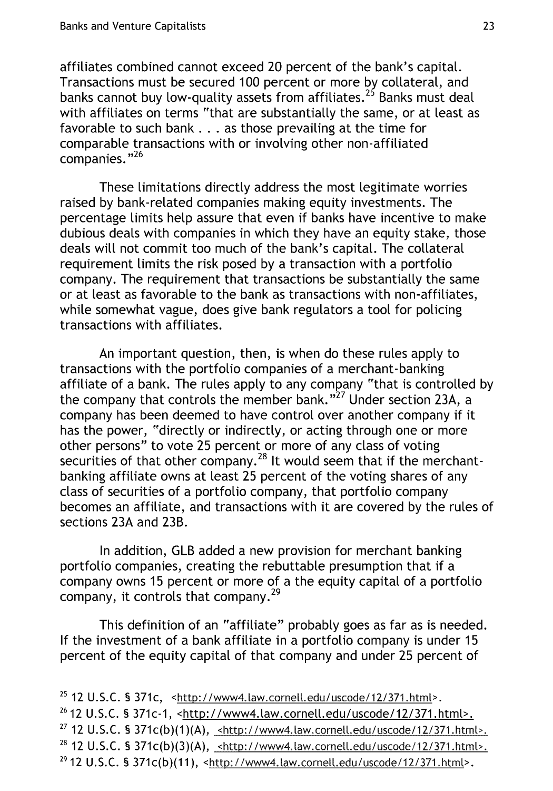affiliates combined cannot exceed 20 percent of the bank's capital. Transactions must be secured 100 percent or more by collateral, and banks cannot buy low-quality assets from affiliates.<sup>25</sup> Banks must deal with affiliates on terms "that are substantially the same, or at least as favorable to such bank **. . .** as those prevailing at the time for comparable transactions with or involving other non-affiliated  $companies.$ <sup> $n26$ </sup>

These limitations directly address the most legitimate worries raised by bank-related companies making equity investments. The percentage limits help assure that even if banks have incentive to make dubious deals with companies in which they have an equity stake, those deals will not commit too much of the bank's capital. The collateral requirement limits the risk posed by a transaction with a portfolio company. The requirement that transactions be substantially the same or at least as favorable to the bank as transactions with non-affiliates, while somewhat vague, does give bank regulators a tool for policing transactions with affiliates.

An important question, then, is when do these rules apply to transactions with the portfolio companies of a merchant-banking affiliate of a bank. The rules apply to any company "that is controlled by the company that controls the member bank."<sup>27</sup> Under section 23A, a company has been deemed to have control over another company if it has the power, "directly or indirectly, or acting through one or more other persons" to vote 25 percent or more of any class of voting securities of that other company.<sup>28</sup> It would seem that if the merchantbanking affiliate owns at least 25 percent of the voting shares of any class of securities of a portfolio company, that portfolio company becomes an affiliate, and transactions with it are covered by the rules of sections 23A and 23B.

In addition, GLB added a new provision for merchant banking portfolio companies, creating the rebuttable presumption that if a company owns 15 percent or more of a the equity capital of a portfolio company, it controls that company.<sup>29</sup>

This definition of an "affiliate" probably goes as far as is needed. If the investment of a bank affiliate in a portfolio company is under 15 percent of the equity capital of that company and under 25 percent of

<sup>25</sup> 12 U.S.C. § 371c, <http://www4.law.cornell.edu/uscode/12/371.html>. <sup>26</sup> 12 U.S.C. § 371c-1, <http://www4.law.cornell.edu/uscode/12/371.html>. **<sup>27</sup>**12 U.S.C. § 371c(b)(1)(A), <http://www4.law.corne[Ledu/uscode/12/371.htmL>. <sup>28</sup> 12 U.S.C. § 371c(b)(3)(A), <http://www4.law.cornell.edu/uscode/12/371.html>. **29** 12 U.S.C. § 371c(b)(11), <http://www4.taw.corne[Ledu/uscode/12/371.html>.